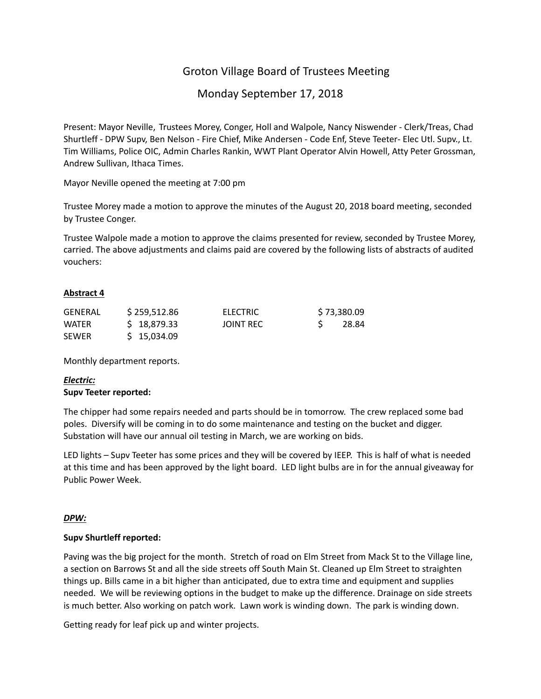# Groton Village Board of Trustees Meeting

# Monday September 17, 2018

Present: Mayor Neville, Trustees Morey, Conger, Holl and Walpole, Nancy Niswender ‐ Clerk/Treas, Chad Shurtleff ‐ DPW Supv, Ben Nelson ‐ Fire Chief, Mike Andersen ‐ Code Enf, Steve Teeter‐ Elec Utl. Supv., Lt. Tim Williams, Police OIC, Admin Charles Rankin, WWT Plant Operator Alvin Howell, Atty Peter Grossman, Andrew Sullivan, Ithaca Times.

Mayor Neville opened the meeting at 7:00 pm

Trustee Morey made a motion to approve the minutes of the August 20, 2018 board meeting, seconded by Trustee Conger.

Trustee Walpole made a motion to approve the claims presented for review, seconded by Trustee Morey, carried. The above adjustments and claims paid are covered by the following lists of abstracts of audited vouchers:

# **Abstract 4**

| <b>GENERAL</b> | \$259,512.86 | <b>ELECTRIC</b> | \$73,380.09 |  |
|----------------|--------------|-----------------|-------------|--|
| <b>WATER</b>   | \$18,879.33  | JOINT REC       | 28.84       |  |
| <b>SEWER</b>   | \$15,034.09  |                 |             |  |

Monthly department reports.

# *Electric:* **Supv Teeter reported:**

The chipper had some repairs needed and parts should be in tomorrow. The crew replaced some bad poles. Diversify will be coming in to do some maintenance and testing on the bucket and digger. Substation will have our annual oil testing in March, we are working on bids.

LED lights – Supv Teeter has some prices and they will be covered by IEEP. This is half of what is needed at this time and has been approved by the light board. LED light bulbs are in for the annual giveaway for Public Power Week.

# *DPW:*

# **Supv Shurtleff reported:**

Paving was the big project for the month. Stretch of road on Elm Street from Mack St to the Village line, a section on Barrows St and all the side streets off South Main St. Cleaned up Elm Street to straighten things up. Bills came in a bit higher than anticipated, due to extra time and equipment and supplies needed. We will be reviewing options in the budget to make up the difference. Drainage on side streets is much better. Also working on patch work. Lawn work is winding down. The park is winding down.

Getting ready for leaf pick up and winter projects.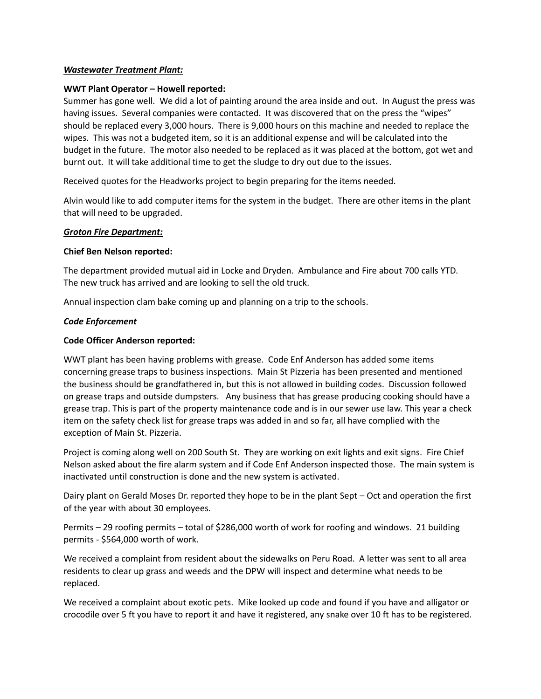#### *Wastewater Treatment Plant:*

#### **WWT Plant Operator – Howell reported:**

Summer has gone well. We did a lot of painting around the area inside and out. In August the press was having issues. Several companies were contacted. It was discovered that on the press the "wipes" should be replaced every 3,000 hours. There is 9,000 hours on this machine and needed to replace the wipes. This was not a budgeted item, so it is an additional expense and will be calculated into the budget in the future. The motor also needed to be replaced as it was placed at the bottom, got wet and burnt out. It will take additional time to get the sludge to dry out due to the issues.

Received quotes for the Headworks project to begin preparing for the items needed.

Alvin would like to add computer items for the system in the budget. There are other items in the plant that will need to be upgraded.

#### *Groton Fire Department:*

#### **Chief Ben Nelson reported:**

The department provided mutual aid in Locke and Dryden. Ambulance and Fire about 700 calls YTD. The new truck has arrived and are looking to sell the old truck.

Annual inspection clam bake coming up and planning on a trip to the schools.

#### *Code Enforcement*

#### **Code Officer Anderson reported:**

WWT plant has been having problems with grease. Code Enf Anderson has added some items concerning grease traps to business inspections. Main St Pizzeria has been presented and mentioned the business should be grandfathered in, but this is not allowed in building codes. Discussion followed on grease traps and outside dumpsters. Any business that has grease producing cooking should have a grease trap. This is part of the property maintenance code and is in our sewer use law. This year a check item on the safety check list for grease traps was added in and so far, all have complied with the exception of Main St. Pizzeria.

Project is coming along well on 200 South St. They are working on exit lights and exit signs. Fire Chief Nelson asked about the fire alarm system and if Code Enf Anderson inspected those. The main system is inactivated until construction is done and the new system is activated.

Dairy plant on Gerald Moses Dr. reported they hope to be in the plant Sept – Oct and operation the first of the year with about 30 employees.

Permits – 29 roofing permits – total of \$286,000 worth of work for roofing and windows. 21 building permits ‐ \$564,000 worth of work.

We received a complaint from resident about the sidewalks on Peru Road. A letter was sent to all area residents to clear up grass and weeds and the DPW will inspect and determine what needs to be replaced.

We received a complaint about exotic pets. Mike looked up code and found if you have and alligator or crocodile over 5 ft you have to report it and have it registered, any snake over 10 ft has to be registered.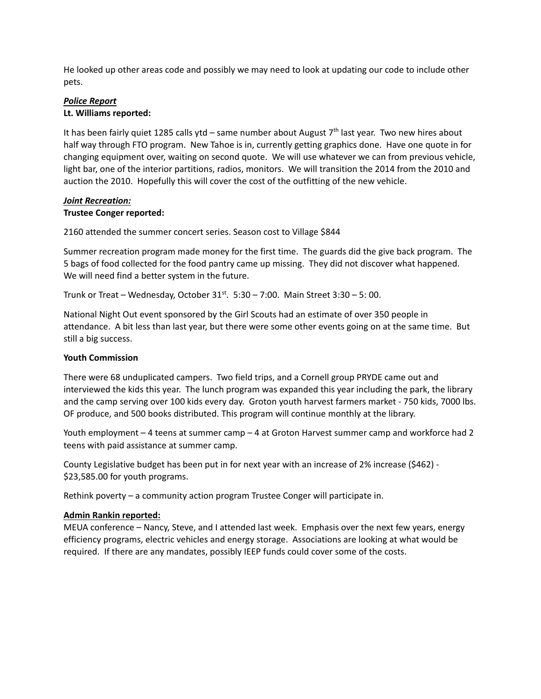He looked up other areas code and possibly we may need to look at updating our code to include other pets.

# *Police Report*

#### **Lt. Williams reported:**

It has been fairly quiet 1285 calls ytd – same number about August  $7<sup>th</sup>$  last year. Two new hires about half way through FTO program. New Tahoe is in, currently getting graphics done. Have one quote in for changing equipment over, waiting on second quote. We will use whatever we can from previous vehicle, light bar, one of the interior partitions, radios, monitors. We will transition the 2014 from the 2010 and auction the 2010. Hopefully this will cover the cost of the outfitting of the new vehicle.

#### *Joint Recreation:* **Trustee Conger reported:**

# 2160 attended the summer concert series. Season cost to Village \$844

Summer recreation program made money for the first time. The guards did the give back program. The 5 bags of food collected for the food pantry came up missing. They did not discover what happened. We will need find a better system in the future.

Trunk or Treat – Wednesday, October  $31<sup>st</sup>$ .  $5:30 - 7:00$ . Main Street  $3:30 - 5:00$ .

National Night Out event sponsored by the Girl Scouts had an estimate of over 350 people in attendance. A bit less than last year, but there were some other events going on at the same time. But still a big success.

# **Youth Commission**

There were 68 unduplicated campers. Two field trips, and a Cornell group PRYDE came out and interviewed the kids this year. The lunch program was expanded this year including the park, the library and the camp serving over 100 kids every day. Groton youth harvest farmers market ‐ 750 kids, 7000 lbs. OF produce, and 500 books distributed. This program will continue monthly at the library.

Youth employment – 4 teens at summer camp – 4 at Groton Harvest summer camp and workforce had 2 teens with paid assistance at summer camp.

County Legislative budget has been put in for next year with an increase of 2% increase (\$462) -\$23,585.00 for youth programs.

Rethink poverty – a community action program Trustee Conger will participate in.

# **Admin Rankin reported:**

MEUA conference – Nancy, Steve, and I attended last week. Emphasis over the next few years, energy efficiency programs, electric vehicles and energy storage. Associations are looking at what would be required. If there are any mandates, possibly IEEP funds could cover some of the costs.